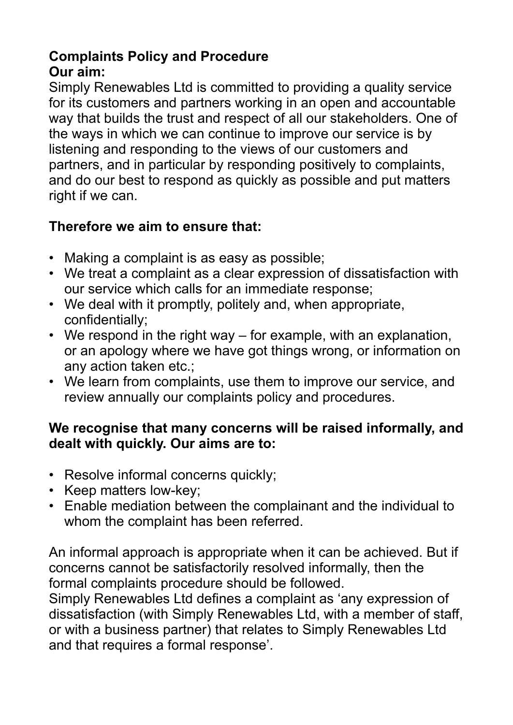#### **Complaints Policy and Procedure Our aim:**

Simply Renewables Ltd is committed to providing a quality service for its customers and partners working in an open and accountable way that builds the trust and respect of all our stakeholders. One of the ways in which we can continue to improve our service is by listening and responding to the views of our customers and partners, and in particular by responding positively to complaints, and do our best to respond as quickly as possible and put matters right if we can.

### **Therefore we aim to ensure that:**

- Making a complaint is as easy as possible;
- We treat a complaint as a clear expression of dissatisfaction with our service which calls for an immediate response;
- We deal with it promptly, politely and, when appropriate, confidentially;
- We respond in the right way for example, with an explanation, or an apology where we have got things wrong, or information on any action taken etc.;
- We learn from complaints, use them to improve our service, and review annually our complaints policy and procedures.

#### **We recognise that many concerns will be raised informally, and dealt with quickly. Our aims are to:**

- Resolve informal concerns quickly;
- Keep matters low-key;
- Enable mediation between the complainant and the individual to whom the complaint has been referred.

An informal approach is appropriate when it can be achieved. But if concerns cannot be satisfactorily resolved informally, then the formal complaints procedure should be followed.

Simply Renewables Ltd defines a complaint as 'any expression of dissatisfaction (with Simply Renewables Ltd, with a member of staff, or with a business partner) that relates to Simply Renewables Ltd and that requires a formal response'.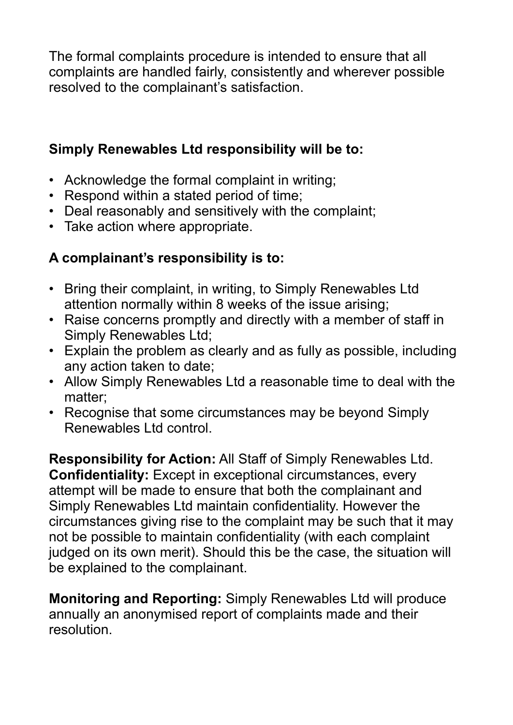The formal complaints procedure is intended to ensure that all complaints are handled fairly, consistently and wherever possible resolved to the complainant's satisfaction.

### **Simply Renewables Ltd responsibility will be to:**

- Acknowledge the formal complaint in writing;
- Respond within a stated period of time;
- Deal reasonably and sensitively with the complaint;
- Take action where appropriate.

### **A complainant's responsibility is to:**

- Bring their complaint, in writing, to Simply Renewables Ltd attention normally within 8 weeks of the issue arising;
- Raise concerns promptly and directly with a member of staff in Simply Renewables Ltd;
- Explain the problem as clearly and as fully as possible, including any action taken to date;
- Allow Simply Renewables Ltd a reasonable time to deal with the matter;
- Recognise that some circumstances may be beyond Simply Renewables Ltd control.

**Responsibility for Action:** All Staff of Simply Renewables Ltd. **Confidentiality:** Except in exceptional circumstances, every attempt will be made to ensure that both the complainant and Simply Renewables Ltd maintain confidentiality. However the circumstances giving rise to the complaint may be such that it may not be possible to maintain confidentiality (with each complaint judged on its own merit). Should this be the case, the situation will be explained to the complainant.

**Monitoring and Reporting:** Simply Renewables Ltd will produce annually an anonymised report of complaints made and their resolution.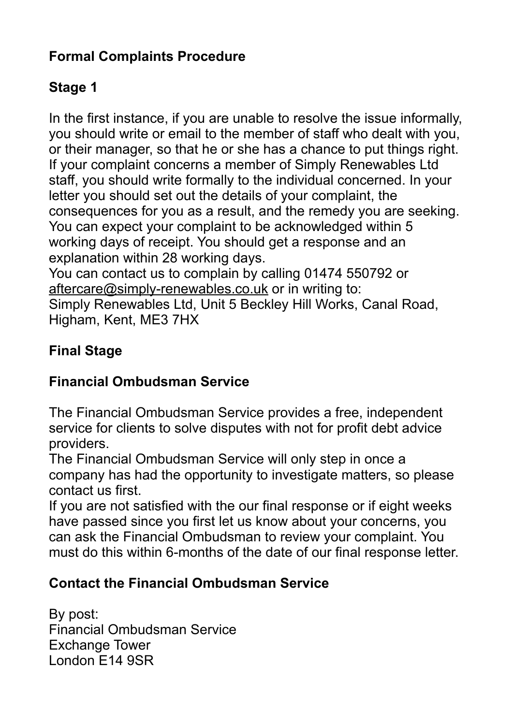## **Formal Complaints Procedure**

# **Stage 1**

In the first instance, if you are unable to resolve the issue informally, you should write or email to the member of staff who dealt with you, or their manager, so that he or she has a chance to put things right. If your complaint concerns a member of Simply Renewables Ltd staff, you should write formally to the individual concerned. In your letter you should set out the details of your complaint, the consequences for you as a result, and the remedy you are seeking. You can expect your complaint to be acknowledged within 5 working days of receipt. You should get a response and an explanation within 28 working days.

You can contact us to complain by calling 01474 550792 or [aftercare@simply-renewables.co.uk](mailto:aftercare@simply-renewables.co.uk) or in writing to: Simply Renewables Ltd, Unit 5 Beckley Hill Works, Canal Road, Higham, Kent, ME3 7HX

# **Final Stage**

## **Financial Ombudsman Service**

The Financial Ombudsman Service provides a free, independent service for clients to solve disputes with not for profit debt advice providers.

The Financial Ombudsman Service will only step in once a company has had the opportunity to investigate matters, so please contact us first.

If you are not satisfied with the our final response or if eight weeks have passed since you first let us know about your concerns, you can ask the Financial Ombudsman to review your complaint. You must do this within 6-months of the date of our final response letter.

### **Contact the Financial Ombudsman Service**

By post: Financial Ombudsman Service Exchange Tower London E14 9SR